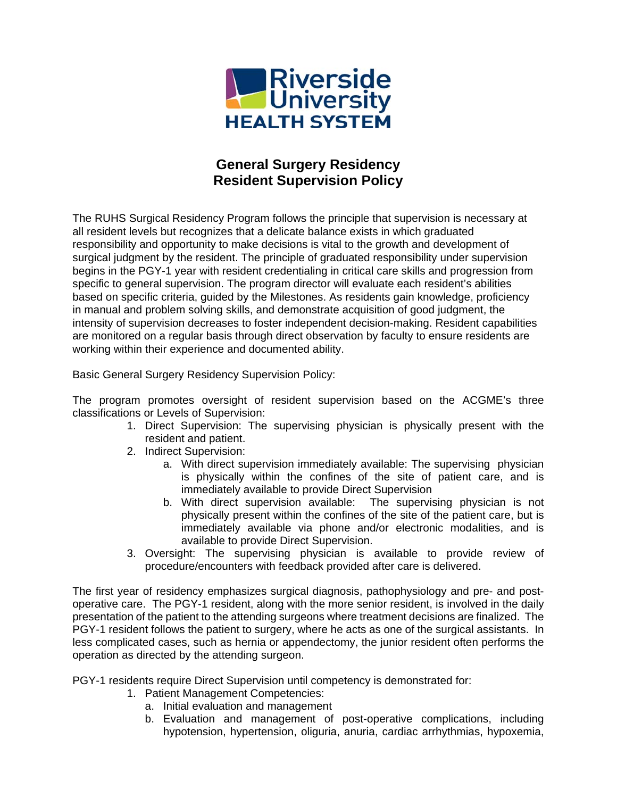

## **General Surgery Residency Resident Supervision Policy**

The RUHS Surgical Residency Program follows the principle that supervision is necessary at all resident levels but recognizes that a delicate balance exists in which graduated responsibility and opportunity to make decisions is vital to the growth and development of surgical judgment by the resident. The principle of graduated responsibility under supervision begins in the PGY-1 year with resident credentialing in critical care skills and progression from specific to general supervision. The program director will evaluate each resident's abilities based on specific criteria, guided by the Milestones. As residents gain knowledge, proficiency in manual and problem solving skills, and demonstrate acquisition of good judgment, the intensity of supervision decreases to foster independent decision-making. Resident capabilities are monitored on a regular basis through direct observation by faculty to ensure residents are working within their experience and documented ability.

Basic General Surgery Residency Supervision Policy:

The program promotes oversight of resident supervision based on the ACGME's three classifications or Levels of Supervision:

- 1. Direct Supervision: The supervising physician is physically present with the resident and patient.
- 2. Indirect Supervision:
	- a. With direct supervision immediately available: The supervising physician is physically within the confines of the site of patient care, and is immediately available to provide Direct Supervision
	- b. With direct supervision available: The supervising physician is not physically present within the confines of the site of the patient care, but is immediately available via phone and/or electronic modalities, and is available to provide Direct Supervision.
- 3. Oversight: The supervising physician is available to provide review of procedure/encounters with feedback provided after care is delivered.

The first year of residency emphasizes surgical diagnosis, pathophysiology and pre- and postoperative care. The PGY-1 resident, along with the more senior resident, is involved in the daily presentation of the patient to the attending surgeons where treatment decisions are finalized. The PGY-1 resident follows the patient to surgery, where he acts as one of the surgical assistants. In less complicated cases, such as hernia or appendectomy, the junior resident often performs the operation as directed by the attending surgeon.

PGY-1 residents require Direct Supervision until competency is demonstrated for:

- 1. Patient Management Competencies:
	- a. Initial evaluation and management
	- b. Evaluation and management of post-operative complications, including hypotension, hypertension, oliguria, anuria, cardiac arrhythmias, hypoxemia,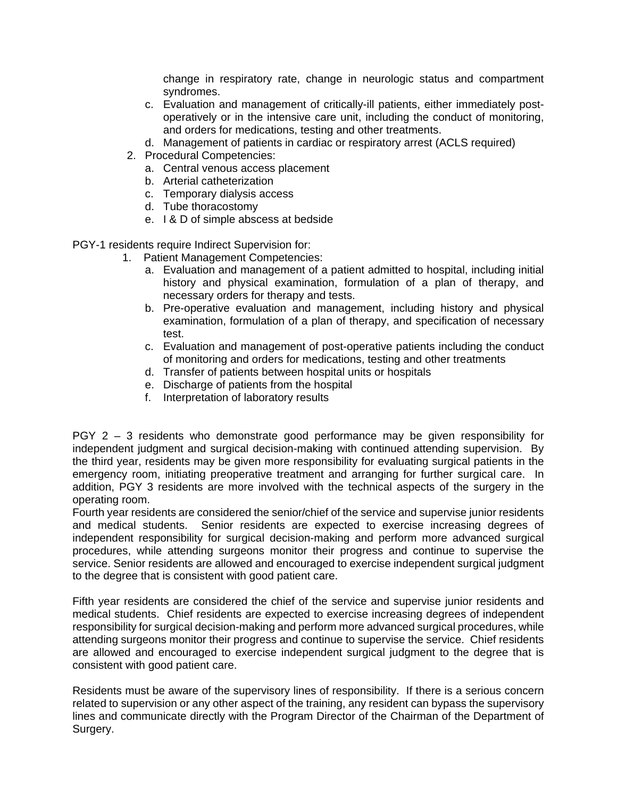change in respiratory rate, change in neurologic status and compartment syndromes.

- c. Evaluation and management of critically-ill patients, either immediately postoperatively or in the intensive care unit, including the conduct of monitoring, and orders for medications, testing and other treatments.
- d. Management of patients in cardiac or respiratory arrest (ACLS required)
- 2. Procedural Competencies:
	- a. Central venous access placement
	- b. Arterial catheterization
	- c. Temporary dialysis access
	- d. Tube thoracostomy
	- e. I & D of simple abscess at bedside

PGY-1 residents require Indirect Supervision for:

- 1. Patient Management Competencies:
	- a. Evaluation and management of a patient admitted to hospital, including initial history and physical examination, formulation of a plan of therapy, and necessary orders for therapy and tests.
	- b. Pre-operative evaluation and management, including history and physical examination, formulation of a plan of therapy, and specification of necessary test.
	- c. Evaluation and management of post-operative patients including the conduct of monitoring and orders for medications, testing and other treatments
	- d. Transfer of patients between hospital units or hospitals
	- e. Discharge of patients from the hospital
	- f. Interpretation of laboratory results

PGY 2 – 3 residents who demonstrate good performance may be given responsibility for independent judgment and surgical decision-making with continued attending supervision. By the third year, residents may be given more responsibility for evaluating surgical patients in the emergency room, initiating preoperative treatment and arranging for further surgical care. In addition, PGY 3 residents are more involved with the technical aspects of the surgery in the operating room.

Fourth year residents are considered the senior/chief of the service and supervise junior residents and medical students. Senior residents are expected to exercise increasing degrees of independent responsibility for surgical decision-making and perform more advanced surgical procedures, while attending surgeons monitor their progress and continue to supervise the service. Senior residents are allowed and encouraged to exercise independent surgical judgment to the degree that is consistent with good patient care.

Fifth year residents are considered the chief of the service and supervise junior residents and medical students. Chief residents are expected to exercise increasing degrees of independent responsibility for surgical decision-making and perform more advanced surgical procedures, while attending surgeons monitor their progress and continue to supervise the service. Chief residents are allowed and encouraged to exercise independent surgical judgment to the degree that is consistent with good patient care.

Residents must be aware of the supervisory lines of responsibility. If there is a serious concern related to supervision or any other aspect of the training, any resident can bypass the supervisory lines and communicate directly with the Program Director of the Chairman of the Department of Surgery.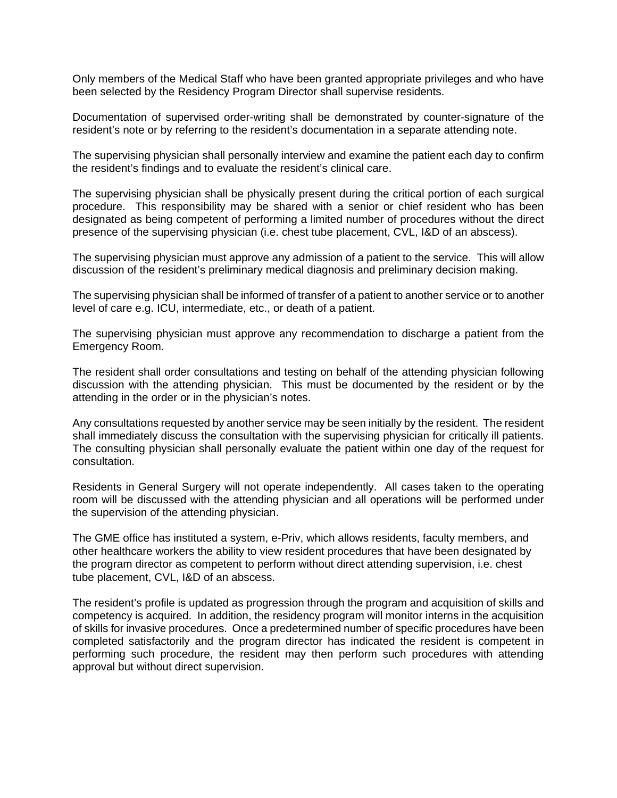Only members of the Medical Staff who have been granted appropriate privileges and who have been selected by the Residency Program Director shall supervise residents.

Documentation of supervised order-writing shall be demonstrated by counter-signature of the resident's note or by referring to the resident's documentation in a separate attending note.

The supervising physician shall personally interview and examine the patient each day to confirm the resident's findings and to evaluate the resident's clinical care.

The supervising physician shall be physically present during the critical portion of each surgical procedure. This responsibility may be shared with a senior or chief resident who has been designated as being competent of performing a limited number of procedures without the direct presence of the supervising physician (i.e. chest tube placement, CVL, I&D of an abscess).

The supervising physician must approve any admission of a patient to the service. This will allow discussion of the resident's preliminary medical diagnosis and preliminary decision making.

The supervising physician shall be informed of transfer of a patient to another service or to another level of care e.g. ICU, intermediate, etc., or death of a patient.

The supervising physician must approve any recommendation to discharge a patient from the Emergency Room.

The resident shall order consultations and testing on behalf of the attending physician following discussion with the attending physician. This must be documented by the resident or by the attending in the order or in the physician's notes.

Any consultations requested by another service may be seen initially by the resident. The resident shall immediately discuss the consultation with the supervising physician for critically ill patients. The consulting physician shall personally evaluate the patient within one day of the request for consultation.

Residents in General Surgery will not operate independently. All cases taken to the operating room will be discussed with the attending physician and all operations will be performed under the supervision of the attending physician.

The GME office has instituted a system, e-Priv, which allows residents, faculty members, and other healthcare workers the ability to view resident procedures that have been designated by the program director as competent to perform without direct attending supervision, i.e. chest tube placement, CVL, I&D of an abscess.

The resident's profile is updated as progression through the program and acquisition of skills and competency is acquired. In addition, the residency program will monitor interns in the acquisition of skills for invasive procedures. Once a predetermined number of specific procedures have been completed satisfactorily and the program director has indicated the resident is competent in performing such procedure, the resident may then perform such procedures with attending approval but without direct supervision.